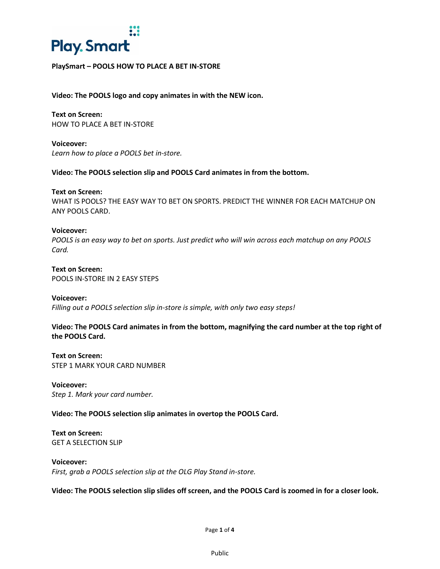

# **PlaySmart – POOLS HOW TO PLACE A BET IN-STORE**

**Video: The POOLS logo and copy animates in with the NEW icon.** 

**Text on Screen:**  HOW TO PLACE A BET IN-STORE

**Voiceover:**  *Learn how to place a POOLS bet in-store.* 

**Video: The POOLS selection slip and POOLS Card animates in from the bottom.**

**Text on Screen:**  WHAT IS POOLS? THE EASY WAY TO BET ON SPORTS. PREDICT THE WINNER FOR EACH MATCHUP ON ANY POOLS CARD.

**Voiceover:**  *POOLS is an easy way to bet on sports. Just predict who will win across each matchup on any POOLS Card.* 

**Text on Screen:**  POOLS IN-STORE IN 2 EASY STEPS

**Voiceover:**  *Filling out a POOLS selection slip in-store is simple, with only two easy steps!* 

**Video: The POOLS Card animates in from the bottom, magnifying the card number at the top right of the POOLS Card.** 

**Text on Screen:**  STEP 1 MARK YOUR CARD NUMBER

**Voiceover:** *Step 1. Mark your card number.* 

**Video: The POOLS selection slip animates in overtop the POOLS Card.** 

**Text on Screen:**  GET A SELECTION SLIP

**Voiceover:**  *First, grab a POOLS selection slip at the OLG Play Stand in-store.* 

**Video: The POOLS selection slip slides off screen, and the POOLS Card is zoomed in for a closer look.**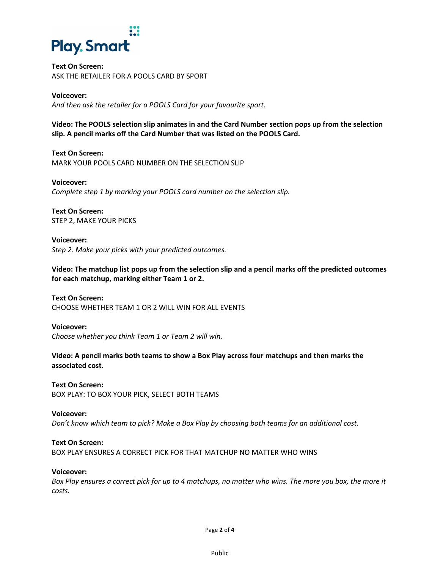

# **Text On Screen:**  ASK THE RETAILER FOR A POOLS CARD BY SPORT

# **Voiceover:**

*And then ask the retailer for a POOLS Card for your favourite sport.* 

**Video: The POOLS selection slip animates in and the Card Number section pops up from the selection slip. A pencil marks off the Card Number that was listed on the POOLS Card.** 

**Text On Screen:**  MARK YOUR POOLS CARD NUMBER ON THE SELECTION SLIP

**Voiceover:**  *Complete step 1 by marking your POOLS card number on the selection slip.* 

**Text On Screen:**  STEP 2, MAKE YOUR PICKS

**Voiceover:**  *Step 2. Make your picks with your predicted outcomes.* 

**Video: The matchup list pops up from the selection slip and a pencil marks off the predicted outcomes for each matchup, marking either Team 1 or 2.** 

**Text On Screen:**  CHOOSE WHETHER TEAM 1 OR 2 WILL WIN FOR ALL EVENTS

**Voiceover:**  *Choose whether you think Team 1 or Team 2 will win.* 

**Video: A pencil marks both teams to show a Box Play across four matchups and then marks the associated cost.** 

**Text On Screen:**  BOX PLAY: TO BOX YOUR PICK, SELECT BOTH TEAMS

**Voiceover:**  *Don't know which team to pick? Make a Box Play by choosing both teams for an additional cost.* 

**Text On Screen:**  BOX PLAY ENSURES A CORRECT PICK FOR THAT MATCHUP NO MATTER WHO WINS

# **Voiceover:**

*Box Play ensures a correct pick for up to 4 matchups, no matter who wins. The more you box, the more it costs.* 

Page **2** of **4**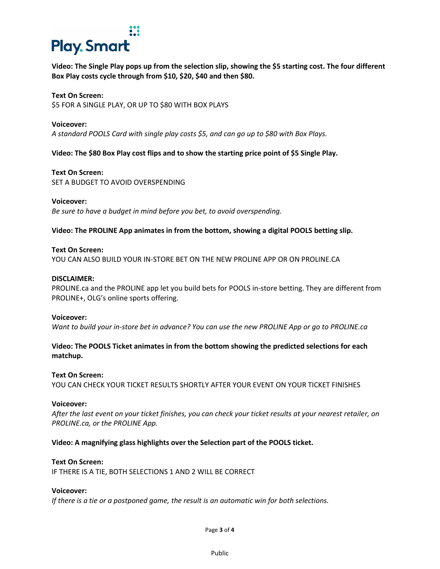# **Play. Smart**

**Video: The Single Play pops up from the selection slip, showing the \$5 starting cost. The four different Box Play costs cycle through from \$10, \$20, \$40 and then \$80.** 

# **Text On Screen:**

\$5 FOR A SINGLE PLAY, OR UP TO \$80 WITH BOX PLAYS

## **Voiceover:**

*A standard POOLS Card with single play costs \$5, and can go up to \$80 with Box Plays.* 

**Video: The \$80 Box Play cost flips and to show the starting price point of \$5 Single Play.** 

# **Text On Screen:**

SET A BUDGET TO AVOID OVERSPENDING

## **Voiceover:**

*Be sure to have a budget in mind before you bet, to avoid overspending.* 

# **Video: The PROLINE App animates in from the bottom, showing a digital POOLS betting slip.**

## **Text On Screen:**

YOU CAN ALSO BUILD YOUR IN-STORE BET ON THE NEW PROLINE APP OR ON [PROLINE.CA](http://PROLINE.ca)

## **DISCLAIMER:**

[PROLINE.ca](http://PROLINE.ca) and the PROLINE app let you build bets for POOLS in-store betting. They are different from PROLINE+, OLG's online sports offering.

## **Voiceover:**

*Want to build your in-store bet in advance? You can use the new PROLINE App or go to PROLINE.ca* 

# **Video: The POOLS Ticket animates in from the bottom showing the predicted selections for each matchup.**

# **Text On Screen:**

YOU CAN CHECK YOUR TICKET RESULTS SHORTLY AFTER YOUR EVENT ON YOUR TICKET FINISHES

## **Voiceover:**

*After the last event on your ticket finishes, you can check your ticket results at your nearest retailer, on [PROLINE.ca,](http://PROLINE.ca) or the PROLINE App.* 

# **Video: A magnifying glass highlights over the Selection part of the POOLS ticket.**

# **Text On Screen:**

IF THERE IS A TIE, BOTH SELECTIONS 1 AND 2 WILL BE CORRECT

## **Voiceover:**

*If there is a tie or a postponed game, the result is an automatic win for both selections.*